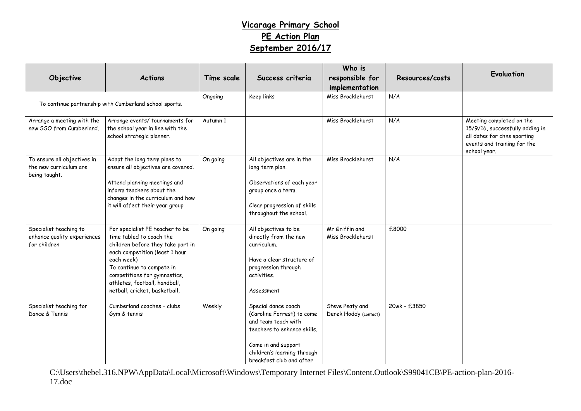## **Vicarage Primary School PE Action Plan September 2016/17**

| Objective                                                              | <b>Actions</b>                                                                                                                                                                                                                                                                  | Time scale | Success criteria                                                                                                                                                                          | Who is<br>responsible for<br>implementation | Resources/costs | Evaluation                                                                                                                                |
|------------------------------------------------------------------------|---------------------------------------------------------------------------------------------------------------------------------------------------------------------------------------------------------------------------------------------------------------------------------|------------|-------------------------------------------------------------------------------------------------------------------------------------------------------------------------------------------|---------------------------------------------|-----------------|-------------------------------------------------------------------------------------------------------------------------------------------|
| To continue partnership with Cumberland school sports.                 |                                                                                                                                                                                                                                                                                 | Ongoing    | Keep links                                                                                                                                                                                | Miss Brocklehurst                           | N/A             |                                                                                                                                           |
| Arrange a meeting with the<br>new SSO from Cumberland.                 | Arrange events/tournaments for<br>the school year in line with the<br>school strategic planner.                                                                                                                                                                                 | Autumn 1   |                                                                                                                                                                                           | Miss Brocklehurst                           | N/A             | Meeting completed on the<br>15/9/16, successfully adding in<br>all dates for chns sporting<br>events and training for the<br>school year. |
| To ensure all objectives in<br>the new curriculum are<br>being taught. | Adapt the long term plans to<br>ensure all objectives are covered.<br>Attend planning meetings and<br>inform teachers about the<br>changes in the curriculum and how<br>it will affect their year group                                                                         | On going   | All objectives are in the<br>long term plan.<br>Observations of each year<br>group once a term.<br>Clear progression of skills<br>throughout the school.                                  | Miss Brocklehurst                           | N/A             |                                                                                                                                           |
| Specialist teaching to<br>enhance quality experiences<br>for children  | For specialist PE teacher to be<br>time tabled to coach the<br>children before they take part in<br>each competition (least 1 hour<br>each week)<br>To continue to compete in<br>competitions for gymnastics,<br>athletes, football, handball,<br>netball, cricket, basketball, | On going   | All objectives to be<br>directly from the new<br>curriculum.<br>Have a clear structure of<br>progression through<br>activities.<br>Assessment                                             | Mr Griffin and<br>Miss Brocklehurst         | £8000           |                                                                                                                                           |
| Specialist teaching for<br>Dance & Tennis                              | Cumberland coaches - clubs<br>Gym & tennis                                                                                                                                                                                                                                      | Weekly     | Special dance coach<br>(Caroline Forrest) to come<br>and team teach with<br>teachers to enhance skills.<br>Come in and support<br>children's learning through<br>breakfast club and after | Steve Peaty and<br>Derek Hoddy (contact)    | 20wk - £3850    |                                                                                                                                           |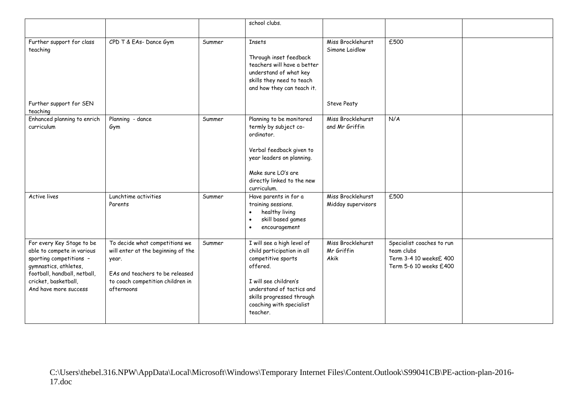|                                                                                                                                                                                              |                                                                                                                                                                    |        | school clubs.                                                                                                                                                                                                         |                                         |                                                                                             |  |
|----------------------------------------------------------------------------------------------------------------------------------------------------------------------------------------------|--------------------------------------------------------------------------------------------------------------------------------------------------------------------|--------|-----------------------------------------------------------------------------------------------------------------------------------------------------------------------------------------------------------------------|-----------------------------------------|---------------------------------------------------------------------------------------------|--|
| Further support for class<br>teaching                                                                                                                                                        | CPD T & EAs- Dance Gym                                                                                                                                             | Summer | <b>Insets</b><br>Through inset feedback<br>teachers will have a better<br>understand of what key<br>skills they need to teach<br>and how they can teach it.                                                           | Miss Brocklehurst<br>Simone Laidlow     | £500                                                                                        |  |
| Further support for SEN<br>teaching                                                                                                                                                          |                                                                                                                                                                    |        |                                                                                                                                                                                                                       | <b>Steve Peaty</b>                      |                                                                                             |  |
| Enhanced planning to enrich<br>curriculum                                                                                                                                                    | Planning - dance<br>Gym                                                                                                                                            | Summer | Planning to be monitored<br>termly by subject co-<br>ordinator.<br>Verbal feedback given to<br>year leaders on planning.<br>Make sure LO's are<br>directly linked to the new<br>curriculum.                           | Miss Brocklehurst<br>and Mr Griffin     | N/A                                                                                         |  |
| <b>Active lives</b>                                                                                                                                                                          | Lunchtime activities<br>Parents                                                                                                                                    | Summer | Have parents in for a<br>training sessions.<br>healthy living<br>$\bullet$<br>skill based games<br>encouragement<br>$\bullet$                                                                                         | Miss Brocklehurst<br>Midday supervisors | £500                                                                                        |  |
| For every Key Stage to be<br>able to compete in various<br>sporting competitions -<br>gymnastics, athletes,<br>football, handball, netball,<br>cricket, basketball,<br>And have more success | To decide what competitions we<br>will enter at the beginning of the<br>year.<br>EAs and teachers to be released<br>to coach competition children in<br>afternoons | Summer | I will see a high level of<br>child participation in all<br>competitive sports<br>offered.<br>I will see children's<br>understand of tactics and<br>skills progressed through<br>coaching with specialist<br>teacher. | Miss Brocklehurst<br>Mr Griffin<br>Akik | Specialist coaches to run<br>team clubs<br>Term 3-4 10 weeksf 400<br>Term 5-6 10 weeks £400 |  |